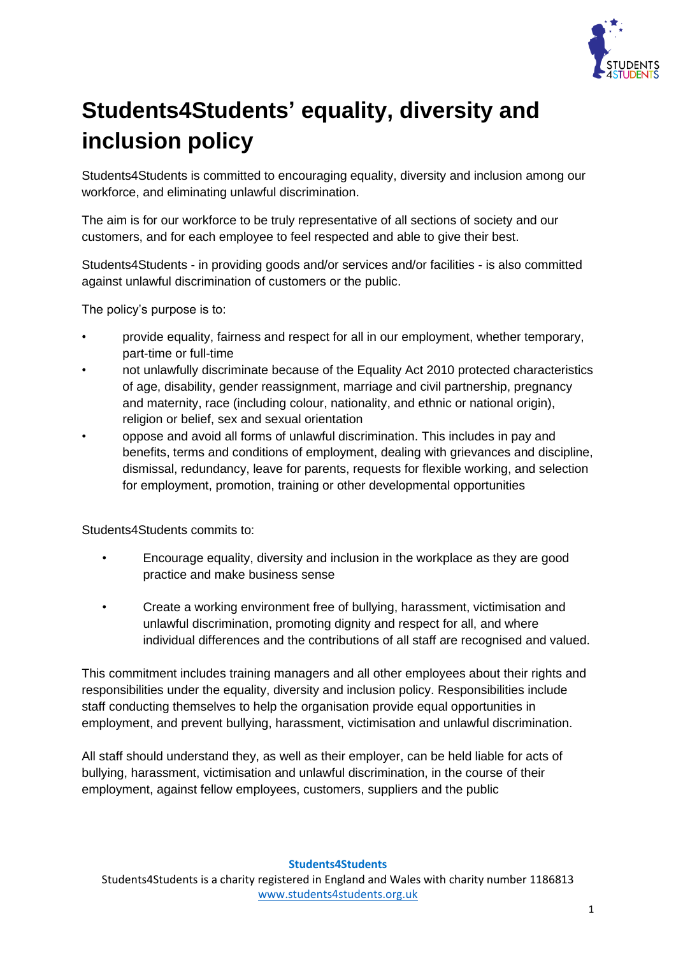

## **Students4Students' equality, diversity and inclusion policy**

Students4Students is committed to encouraging equality, diversity and inclusion among our workforce, and eliminating unlawful discrimination.

The aim is for our workforce to be truly representative of all sections of society and our customers, and for each employee to feel respected and able to give their best.

Students4Students - in providing goods and/or services and/or facilities - is also committed against unlawful discrimination of customers or the public.

The policy's purpose is to:

- provide equality, fairness and respect for all in our employment, whether temporary, part-time or full-time
- not unlawfully discriminate because of the Equality Act 2010 protected characteristics of age, disability, gender reassignment, marriage and civil partnership, pregnancy and maternity, race (including colour, nationality, and ethnic or national origin), religion or belief, sex and sexual orientation
- oppose and avoid all forms of unlawful discrimination. This includes in pay and benefits, terms and conditions of employment, dealing with grievances and discipline, dismissal, redundancy, leave for parents, requests for flexible working, and selection for employment, promotion, training or other developmental opportunities

Students4Students commits to:

- Encourage equality, diversity and inclusion in the workplace as they are good practice and make business sense
- Create a working environment free of bullying, harassment, victimisation and unlawful discrimination, promoting dignity and respect for all, and where individual differences and the contributions of all staff are recognised and valued.

This commitment includes training managers and all other employees about their rights and responsibilities under the equality, diversity and inclusion policy. Responsibilities include staff conducting themselves to help the organisation provide equal opportunities in employment, and prevent bullying, harassment, victimisation and unlawful discrimination.

All staff should understand they, as well as their employer, can be held liable for acts of bullying, harassment, victimisation and unlawful discrimination, in the course of their employment, against fellow employees, customers, suppliers and the public